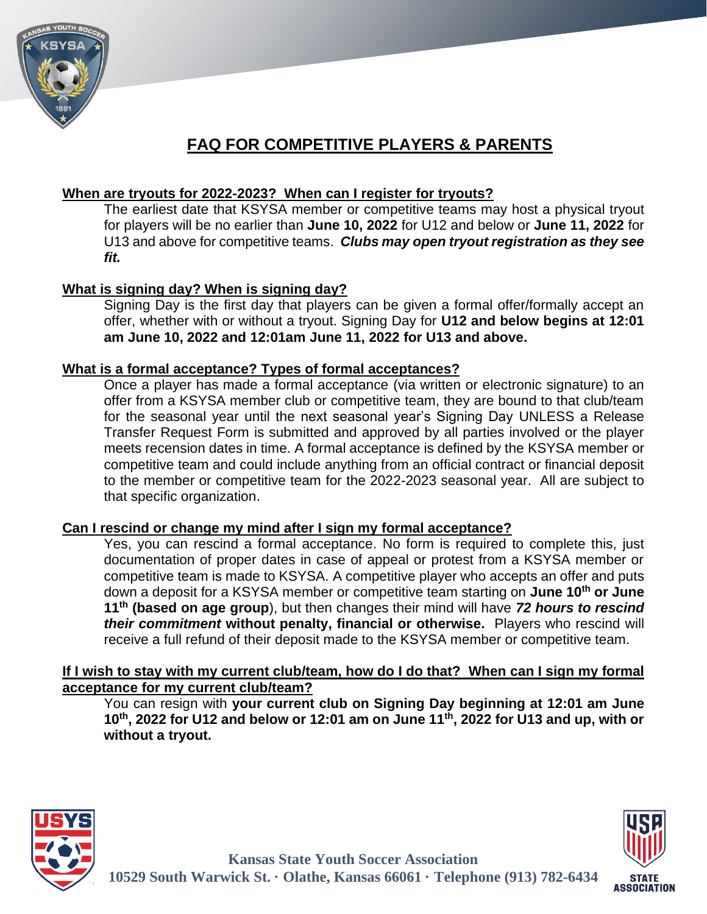

# **FAQ FOR COMPETITIVE PLAYERS & PARENTS**

## **When are tryouts for 2022-2023? When can I register for tryouts?**

The earliest date that KSYSA member or competitive teams may host a physical tryout for players will be no earlier than **June 10, 2022** for U12 and below or **June 11, 2022** for U13 and above for competitive teams. *Clubs may open tryout registration as they see fit.*

## **What is signing day? When is signing day?**

Signing Day is the first day that players can be given a formal offer/formally accept an offer, whether with or without a tryout. Signing Day for **U12 and below begins at 12:01 am June 10, 2022 and 12:01am June 11, 2022 for U13 and above.**

#### **What is a formal acceptance? Types of formal acceptances?**

Once a player has made a formal acceptance (via written or electronic signature) to an offer from a KSYSA member club or competitive team, they are bound to that club/team for the seasonal year until the next seasonal year's Signing Day UNLESS a Release Transfer Request Form is submitted and approved by all parties involved or the player meets recension dates in time. A formal acceptance is defined by the KSYSA member or competitive team and could include anything from an official contract or financial deposit to the member or competitive team for the 2022-2023 seasonal year. All are subject to that specific organization.

#### **Can I rescind or change my mind after I sign my formal acceptance?**

Yes, you can rescind a formal acceptance. No form is required to complete this, just documentation of proper dates in case of appeal or protest from a KSYSA member or competitive team is made to KSYSA. A competitive player who accepts an offer and puts down a deposit for a KSYSA member or competitive team starting on **June 10th or June 11th (based on age group**), but then changes their mind will have *72 hours to rescind their commitment* **without penalty, financial or otherwise.** Players who rescind will receive a full refund of their deposit made to the KSYSA member or competitive team.

#### **If I wish to stay with my current club/team, how do I do that? When can I sign my formal acceptance for my current club/team?**

You can resign with **your current club on Signing Day beginning at 12:01 am June 10th, 2022 for U12 and below or 12:01 am on June 11th, 2022 for U13 and up, with or without a tryout.**